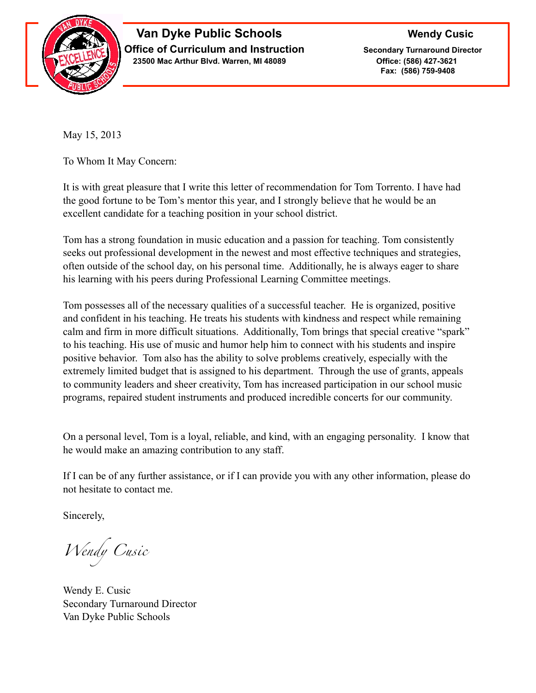

## **Van Dyke Public Schools** Wendy Cusic **Office of Curriculum and Instruction Secondary Turnaround Director 23500 Mac Arthur Blvd. Warren, MI 48089 Office: (586) 427-3621**

 **Fax: (586) 759-9408**

May 15, 2013

To Whom It May Concern:

It is with great pleasure that I write this letter of recommendation for Tom Torrento. I have had the good fortune to be Tom's mentor this year, and I strongly believe that he would be an excellent candidate for a teaching position in your school district.

Tom has a strong foundation in music education and a passion for teaching. Tom consistently seeks out professional development in the newest and most effective techniques and strategies, often outside of the school day, on his personal time. Additionally, he is always eager to share his learning with his peers during Professional Learning Committee meetings.

Tom possesses all of the necessary qualities of a successful teacher. He is organized, positive and confident in his teaching. He treats his students with kindness and respect while remaining calm and firm in more difficult situations. Additionally, Tom brings that special creative "spark" to his teaching. His use of music and humor help him to connect with his students and inspire positive behavior. Tom also has the ability to solve problems creatively, especially with the extremely limited budget that is assigned to his department. Through the use of grants, appeals to community leaders and sheer creativity, Tom has increased participation in our school music programs, repaired student instruments and produced incredible concerts for our community.

On a personal level, Tom is a loyal, reliable, and kind, with an engaging personality. I know that he would make an amazing contribution to any staff.

If I can be of any further assistance, or if I can provide you with any other information, please do not hesitate to contact me.

Sincerely,

*Wendy Cusic*

Wendy E. Cusic Secondary Turnaround Director Van Dyke Public Schools